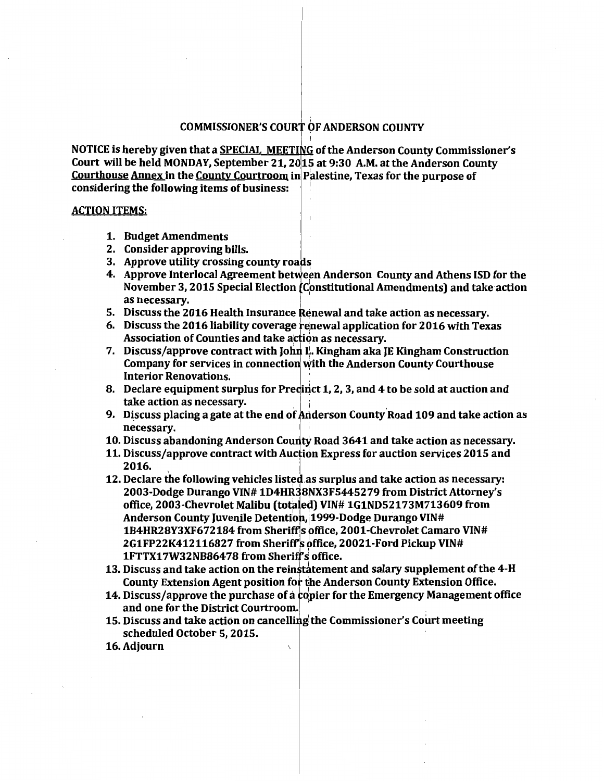## COMMISSIONER'S COURT OF ANDERSON COUNTY

I NOTICE is hereby given that a SPECIAL MEETING of the Anderson County Commissioner's Court will be held MONDAY, September 21, 201S at 9:30 A.M. at the Anderson County Courthouse Annex in the County Courtroom in Palestine, Texas for the purpose of considering the following items of business: 1

## ACTION ITEMS:

- 1. Budget Amendments
- 2. Consider approving bills.
- 3. Approve utility crossing county roads
- 4. Approve Interlocal Agreement between Anderson County and Athens ISD for the November 3, 2015 Special Election (Constitutional Amendments) and take action as necessary.
- 5. Discuss the 2016 Health Insurance Renewal and take action as necessary.
- 6. Discuss the 2016 liability coverage renewal application for 2016 with Texas Association of Counties and take action as necessary.
- 7. Discuss/approve contract with John  $\mathbf{L}$ . Kingham aka JE Kingham Construction Company for services in connection with the Anderson County Courthouse Interior Renovations. .
- 8. Declare equipment surplus for Precinct 1, 2, 3, and 4 to be sold at auction and take action as necessary.
- 9. Discuss placing a gate at the end of Anderson County Road 109 and take action as necessary.
- 10. Discuss abandoning Anderson County Road 3641 and take action as necessary.
- 11. Discuss/approve contract with Auction Express for auction services 2015 and 2016.
- 12. Declare the following vehicles listed as surplus and take action as necessary: 2003-Dodge Durango VIN# 1D4HR38NX3F5445279 from District Attorney's office, 2003-Chevrolet Malibu (totaled) VIN# 1G1ND52173M713609 from Anderson County Juvenile Detention, 1999-Dodge Durango VIN# 1B4HR28Y3XF672184 from Sheriff's office, 2001-Chevrolet Camaro VIN# 2G1FP22K412116827 from Sheriff's office, 20021-Ford Pickup VIN# 1FTTX17W32NB86478 from Sherif s office.
- 13. Discuss and take action on the reinstatement and salary supplement of the 4-H County Extension Agent position for the Anderson County Extension Office.
- 14. Discuss/approve the purchase of a dpier for the Emergency Management office and one for the District Courtroom. '
- 15. Discuss and take action on cancelling the Commissioner's Court meeting scheduled October 5, 2015.
- 16.Adjourn